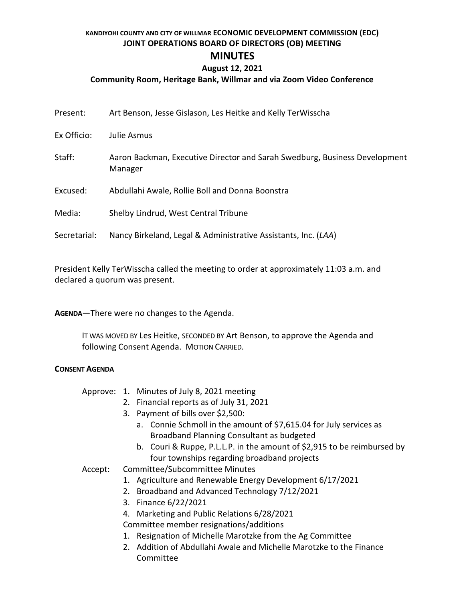### **KANDIYOHI COUNTY AND CITY OF WILLMAR ECONOMIC DEVELOPMENT COMMISSION (EDC) JOINT OPERATIONS BOARD OF DIRECTORS (OB) MEETING MINUTES**

### **August 12, 2021**

#### **Community Room, Heritage Bank, Willmar and via Zoom Video Conference**

| Present:     | Art Benson, Jesse Gislason, Les Heitke and Kelly TerWisscha                           |
|--------------|---------------------------------------------------------------------------------------|
| Ex Officio:  | Julie Asmus                                                                           |
| Staff:       | Aaron Backman, Executive Director and Sarah Swedburg, Business Development<br>Manager |
| Excused:     | Abdullahi Awale, Rollie Boll and Donna Boonstra                                       |
| Media:       | Shelby Lindrud, West Central Tribune                                                  |
| Secretarial: | Nancy Birkeland, Legal & Administrative Assistants, Inc. (LAA)                        |

President Kelly TerWisscha called the meeting to order at approximately 11:03 a.m. and declared a quorum was present.

**AGENDA**—There were no changes to the Agenda.

IT WAS MOVED BY Les Heitke, SECONDED BY Art Benson, to approve the Agenda and following Consent Agenda. MOTION CARRIED.

#### **CONSENT AGENDA**

|  |  |  |  | Approve: 1. Minutes of July 8, 2021 meeting |
|--|--|--|--|---------------------------------------------|
|--|--|--|--|---------------------------------------------|

- 2. Financial reports as of July 31, 2021
- 3. Payment of bills over \$2,500:
	- a. Connie Schmoll in the amount of \$7,615.04 for July services as Broadband Planning Consultant as budgeted
	- b. Couri & Ruppe, P.L.L.P. in the amount of \$2,915 to be reimbursed by four townships regarding broadband projects

#### Accept: Committee/Subcommittee Minutes

- 1. Agriculture and Renewable Energy Development 6/17/2021
- 2. Broadband and Advanced Technology 7/12/2021
- 3. Finance 6/22/2021
- 4. Marketing and Public Relations 6/28/2021

Committee member resignations/additions

- 1. Resignation of Michelle Marotzke from the Ag Committee
- 2. Addition of Abdullahi Awale and Michelle Marotzke to the Finance Committee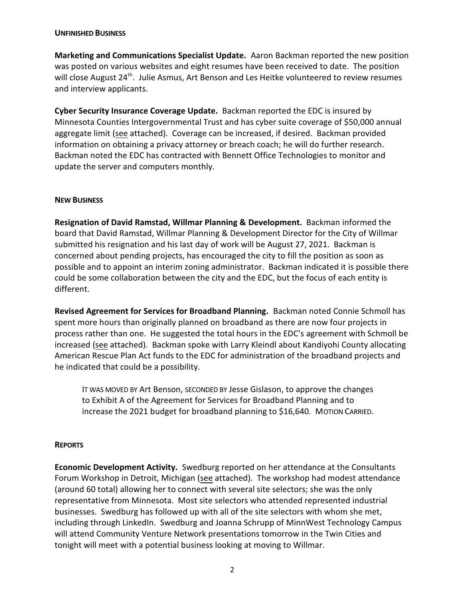#### **UNFINISHED BUSINESS**

**Marketing and Communications Specialist Update.** Aaron Backman reported the new position was posted on various websites and eight resumes have been received to date. The position will close August 24<sup>th</sup>. Julie Asmus, Art Benson and Les Heitke volunteered to review resumes and interview applicants.

**Cyber Security Insurance Coverage Update.** Backman reported the EDC is insured by Minnesota Counties Intergovernmental Trust and has cyber suite coverage of \$50,000 annual aggregate limit (see attached). Coverage can be increased, if desired. Backman provided information on obtaining a privacy attorney or breach coach; he will do further research. Backman noted the EDC has contracted with Bennett Office Technologies to monitor and update the server and computers monthly.

#### **NEW BUSINESS**

**Resignation of David Ramstad, Willmar Planning & Development.** Backman informed the board that David Ramstad, Willmar Planning & Development Director for the City of Willmar submitted his resignation and his last day of work will be August 27, 2021. Backman is concerned about pending projects, has encouraged the city to fill the position as soon as possible and to appoint an interim zoning administrator. Backman indicated it is possible there could be some collaboration between the city and the EDC, but the focus of each entity is different.

**Revised Agreement for Services for Broadband Planning.** Backman noted Connie Schmoll has spent more hours than originally planned on broadband as there are now four projects in process rather than one. He suggested the total hours in the EDC's agreement with Schmoll be increased (see attached). Backman spoke with Larry Kleindl about Kandiyohi County allocating American Rescue Plan Act funds to the EDC for administration of the broadband projects and he indicated that could be a possibility.

IT WAS MOVED BY Art Benson, SECONDED BY Jesse Gislason, to approve the changes to Exhibit A of the Agreement for Services for Broadband Planning and to increase the 2021 budget for broadband planning to \$16,640. MOTION CARRIED.

#### **REPORTS**

**Economic Development Activity.** Swedburg reported on her attendance at the Consultants Forum Workshop in Detroit, Michigan (see attached). The workshop had modest attendance (around 60 total) allowing her to connect with several site selectors; she was the only representative from Minnesota. Most site selectors who attended represented industrial businesses. Swedburg has followed up with all of the site selectors with whom she met, including through LinkedIn. Swedburg and Joanna Schrupp of MinnWest Technology Campus will attend Community Venture Network presentations tomorrow in the Twin Cities and tonight will meet with a potential business looking at moving to Willmar.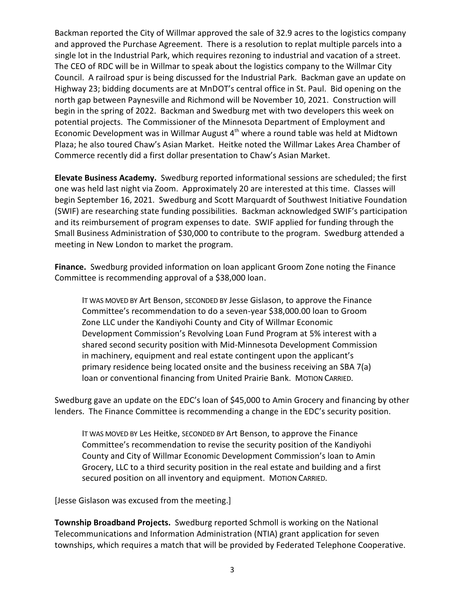Backman reported the City of Willmar approved the sale of 32.9 acres to the logistics company and approved the Purchase Agreement. There is a resolution to replat multiple parcels into a single lot in the Industrial Park, which requires rezoning to industrial and vacation of a street. The CEO of RDC will be in Willmar to speak about the logistics company to the Willmar City Council. A railroad spur is being discussed for the Industrial Park. Backman gave an update on Highway 23; bidding documents are at MnDOT's central office in St. Paul. Bid opening on the north gap between Paynesville and Richmond will be November 10, 2021. Construction will begin in the spring of 2022. Backman and Swedburg met with two developers this week on potential projects. The Commissioner of the Minnesota Department of Employment and Economic Development was in Willmar August  $4<sup>th</sup>$  where a round table was held at Midtown Plaza; he also toured Chaw's Asian Market. Heitke noted the Willmar Lakes Area Chamber of Commerce recently did a first dollar presentation to Chaw's Asian Market.

**Elevate Business Academy.** Swedburg reported informational sessions are scheduled; the first one was held last night via Zoom. Approximately 20 are interested at this time. Classes will begin September 16, 2021. Swedburg and Scott Marquardt of Southwest Initiative Foundation (SWIF) are researching state funding possibilities. Backman acknowledged SWIF's participation and its reimbursement of program expenses to date. SWIF applied for funding through the Small Business Administration of \$30,000 to contribute to the program. Swedburg attended a meeting in New London to market the program.

**Finance.** Swedburg provided information on loan applicant Groom Zone noting the Finance Committee is recommending approval of a \$38,000 loan.

IT WAS MOVED BY Art Benson, SECONDED BY Jesse Gislason, to approve the Finance Committee's recommendation to do a seven-year \$38,000.00 loan to Groom Zone LLC under the Kandiyohi County and City of Willmar Economic Development Commission's Revolving Loan Fund Program at 5% interest with a shared second security position with Mid-Minnesota Development Commission in machinery, equipment and real estate contingent upon the applicant's primary residence being located onsite and the business receiving an SBA 7(a) loan or conventional financing from United Prairie Bank. MOTION CARRIED.

Swedburg gave an update on the EDC's loan of \$45,000 to Amin Grocery and financing by other lenders. The Finance Committee is recommending a change in the EDC's security position.

IT WAS MOVED BY Les Heitke, SECONDED BY Art Benson, to approve the Finance Committee's recommendation to revise the security position of the Kandiyohi County and City of Willmar Economic Development Commission's loan to Amin Grocery, LLC to a third security position in the real estate and building and a first secured position on all inventory and equipment. MOTION CARRIED.

[Jesse Gislason was excused from the meeting.]

**Township Broadband Projects.** Swedburg reported Schmoll is working on the National Telecommunications and Information Administration (NTIA) grant application for seven townships, which requires a match that will be provided by Federated Telephone Cooperative.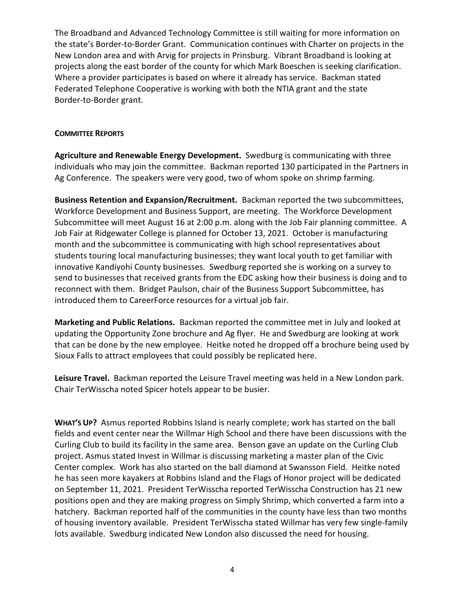The Broadband and Advanced Technology Committee is still waiting for more information on the state's Border-to-Border Grant. Communication continues with Charter on projects in the New London area and with Arvig for projects in Prinsburg. Vibrant Broadband is looking at projects along the east border of the county for which Mark Boeschen is seeking clarification. Where a provider participates is based on where it already has service. Backman stated Federated Telephone Cooperative is working with both the NTIA grant and the state Border-to-Border grant.

#### **COMMITTEE REPORTS**

**Agriculture and Renewable Energy Development.** Swedburg is communicating with three individuals who may join the committee. Backman reported 130 participated in the Partners in Ag Conference. The speakers were very good, two of whom spoke on shrimp farming.

**Business Retention and Expansion/Recruitment.** Backman reported the two subcommittees, Workforce Development and Business Support, are meeting. The Workforce Development Subcommittee will meet August 16 at 2:00 p.m. along with the Job Fair planning committee. A Job Fair at Ridgewater College is planned for October 13, 2021. October is manufacturing month and the subcommittee is communicating with high school representatives about students touring local manufacturing businesses; they want local youth to get familiar with innovative Kandiyohi County businesses. Swedburg reported she is working on a survey to send to businesses that received grants from the EDC asking how their business is doing and to reconnect with them. Bridget Paulson, chair of the Business Support Subcommittee, has introduced them to CareerForce resources for a virtual job fair.

**Marketing and Public Relations.** Backman reported the committee met in July and looked at updating the Opportunity Zone brochure and Ag flyer. He and Swedburg are looking at work that can be done by the new employee. Heitke noted he dropped off a brochure being used by Sioux Falls to attract employees that could possibly be replicated here.

**Leisure Travel.** Backman reported the Leisure Travel meeting was held in a New London park. Chair TerWisscha noted Spicer hotels appear to be busier.

**WHAT'S UP?** Asmus reported Robbins Island is nearly complete; work has started on the ball fields and event center near the Willmar High School and there have been discussions with the Curling Club to build its facility in the same area. Benson gave an update on the Curling Club project. Asmus stated Invest in Willmar is discussing marketing a master plan of the Civic Center complex. Work has also started on the ball diamond at Swansson Field. Heitke noted he has seen more kayakers at Robbins Island and the Flags of Honor project will be dedicated on September 11, 2021. President TerWisscha reported TerWisscha Construction has 21 new positions open and they are making progress on Simply Shrimp, which converted a farm into a hatchery. Backman reported half of the communities in the county have less than two months of housing inventory available. President TerWisscha stated Willmar has very few single-family lots available. Swedburg indicated New London also discussed the need for housing.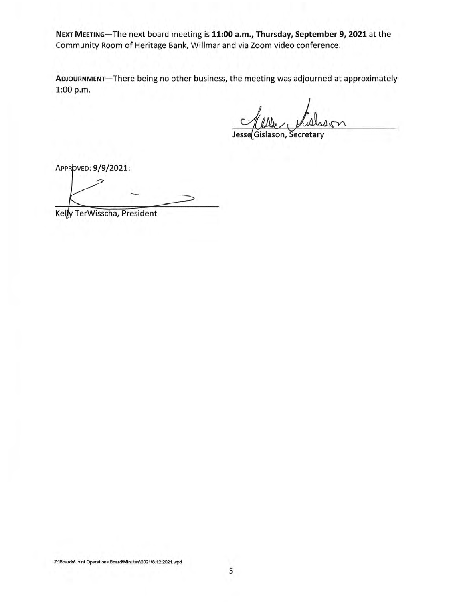NEXT MEETING-The next board meeting is 11:00 a.m., Thursday, September 9, 2021 at the Community Room of Heritage Bank, Willmar and via Zoom video conference.

ADJOURNMENT-There being no other business, the meeting was adjourned at approximately 1:00 p.m.

Secretary Jesse Gislason,

APPROVED: 9/9/2021:

Kelly TerWisscha, President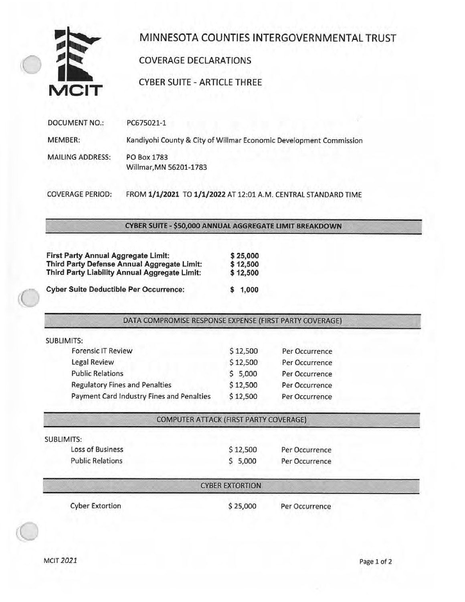

# MINNESOTA COUNTIES INTERGOVERNMENTAL TRUST

### **COVERAGE DECLARATIONS**

**CYBER SUITE - ARTICLE THREE** 

| DOCUMENT NO.:           | PC675021-1                                                         |
|-------------------------|--------------------------------------------------------------------|
| MEMBER:                 | Kandiyohi County & City of Willmar Economic Development Commission |
| <b>MAILING ADDRESS:</b> | PO Box 1783<br>Willmar, MN 56201-1783                              |

**COVERAGE PERIOD:** FROM 1/1/2021 TO 1/1/2022 AT 12:01 A.M. CENTRAL STANDARD TIME

CYBER SUITE - \$50,000 ANNUAL AGGREGATE LIMIT BREAKDOWN

| <b>First Party Annual Aggregate Limit:</b>    | \$25,000 |
|-----------------------------------------------|----------|
| Third Party Defense Annual Aggregate Limit:   | \$12,500 |
| Third Party Liability Annual Aggregate Limit: | \$12,500 |
| <b>Cyber Suite Deductible Per Occurrence:</b> | \$1,000  |

#### DATA COMPROMISE RESPONSE EXPENSE (FIRST PARTY COVERAGE)

| <b>SUBLIMITS:</b>                         |          |                |
|-------------------------------------------|----------|----------------|
| <b>Forensic IT Review</b>                 | \$12,500 | Per Occurrence |
| Legal Review                              | \$12,500 | Per Occurrence |
| <b>Public Relations</b>                   | \$5,000  | Per Occurrence |
| <b>Regulatory Fines and Penalties</b>     | \$12,500 | Per Occurrence |
| Payment Card Industry Fines and Penalties | \$12,500 | Per Occurrence |
|                                           |          |                |

**COMPUTER ATTACK (FIRST PARTY COVERAGE)** 

| <b>SUBLIMITS:</b>       |          |                |  |
|-------------------------|----------|----------------|--|
| Loss of Business        | \$12,500 | Per Occurrence |  |
| <b>Public Relations</b> | \$5,000  | Per Occurrence |  |

#### **CYBER EXTORTION**

**Cyber Extortion** 

\$25,000

Per Occurrence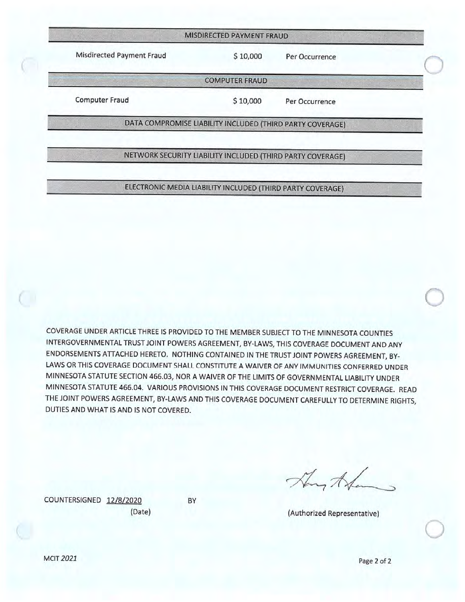|                           | MISDIRECTED PAYMENT FRAUD                                 |                |  |
|---------------------------|-----------------------------------------------------------|----------------|--|
| Misdirected Payment Fraud | \$10,000                                                  | Per Occurrence |  |
|                           | <b>COMPUTER FRAUD</b>                                     |                |  |
| Computer Fraud            | \$10,000                                                  | Per Occurrence |  |
|                           | DATA COMPROMISE LIABILITY INCLUDED (THIRD PARTY COVERAGE) |                |  |

#### NETWORK SECURITY LIABILITY INCLUDED (THIRD PARTY COVERAGE)

### ELECTRONIC MEDIA LIABILITY INCLUDED (THIRD PARTY COVERAGE)

COVERAGE UNDER ARTICLE THREE IS PROVIDED TO THE MEMBER SUBJECT TO THE MINNESOTA COUNTIES INTERGOVERNMENTAL TRUST JOINT POWERS AGREEMENT, BY-LAWS, THIS COVERAGE DOCUMENT AND ANY ENDORSEMENTS ATTACHED HERETO. NOTHING CONTAINED IN THE TRUST JOINT POWERS AGREEMENT, BY-LAWS OR THIS COVERAGE DOCUMENT SHALL CONSTITUTE A WAIVER OF ANY IMMUNITIES CONFERRED UNDER MINNESOTA STATUTE SECTION 466.03, NOR A WAIVER OF THE LIMITS OF GOVERNMENTAL LIABILITY UNDER MINNESOTA STATUTE 466.04. VARIOUS PROVISIONS IN THIS COVERAGE DOCUMENT RESTRICT COVERAGE. READ THE JOINT POWERS AGREEMENT, BY-LAWS AND THIS COVERAGE DOCUMENT CAREFULLY TO DETERMINE RIGHTS, DUTIES AND WHAT IS AND IS NOT COVERED.

COUNTERSIGNED 12/8/2020 (Date) BY

They the

(Authorized Representative)

**MCIT 2021**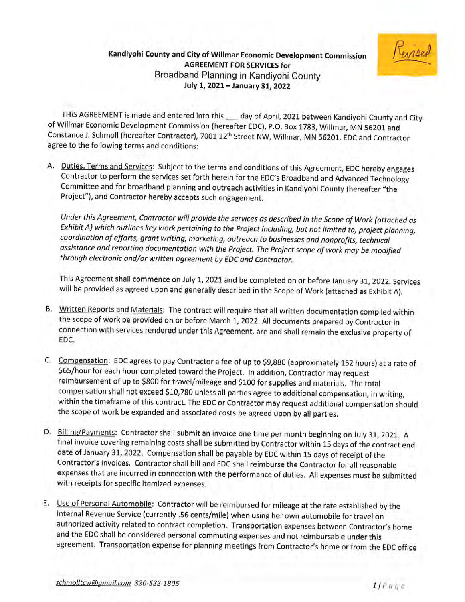### Kandiyohi County and City of Willmar Economic Development Commission **AGREEMENT FOR SERVICES for** Broadband Planning in Kandiyohi County July 1, 2021 - January 31, 2022



THIS AGREEMENT is made and entered into this \_\_ day of April, 2021 between Kandiyohi County and City of Willmar Economic Development Commission (hereafter EDC), P.O. Box 1783, Willmar, MN 56201 and Constance J. Schmoll (hereafter Contractor), 7001 12<sup>th</sup> Street NW, Willmar, MN 56201. EDC and Contractor agree to the following terms and conditions:

A. Duties, Terms and Services: Subject to the terms and conditions of this Agreement, EDC hereby engages Contractor to perform the services set forth herein for the EDC's Broadband and Advanced Technology Committee and for broadband planning and outreach activities in Kandiyohi County (hereafter "the Project"), and Contractor hereby accepts such engagement.

Under this Agreement, Contractor will provide the services as described in the Scope of Work (attached as Exhibit A) which outlines key work pertaining to the Project including, but not limited to, project planning, coordination of efforts, grant writing, marketing, outreach to businesses and nonprofits, technical assistance and reporting documentation with the Project. The Project scope of work may be modified through electronic and/or written agreement by EDC and Contractor.

This Agreement shall commence on July 1, 2021 and be completed on or before January 31, 2022. Services will be provided as agreed upon and generally described in the Scope of Work (attached as Exhibit A).

- B. Written Reports and Materials: The contract will require that all written documentation compiled within the scope of work be provided on or before March 1, 2022. All documents prepared by Contractor in connection with services rendered under this Agreement, are and shall remain the exclusive property of EDC.
- C. Compensation: EDC agrees to pay Contractor a fee of up to \$9,880 (approximately 152 hours) at a rate of \$65/hour for each hour completed toward the Project. In addition, Contractor may request reimbursement of up to \$800 for travel/mileage and \$100 for supplies and materials. The total compensation shall not exceed \$10,780 unless all parties agree to additional compensation, in writing, within the timeframe of this contract. The EDC or Contractor may request additional compensation should the scope of work be expanded and associated costs be agreed upon by all parties.
- D. Billing/Payments: Contractor shall submit an invoice one time per month beginning on July 31, 2021. A final invoice covering remaining costs shall be submitted by Contractor within 15 days of the contract end date of January 31, 2022. Compensation shall be payable by EDC within 15 days of receipt of the Contractor's invoices. Contractor shall bill and EDC shall reimburse the Contractor for all reasonable expenses that are incurred in connection with the performance of duties. All expenses must be submitted with receipts for specific itemized expenses.
- E. Use of Personal Automobile: Contractor will be reimbursed for mileage at the rate established by the Internal Revenue Service (currently .56 cents/mile) when using her own automobile for travel on authorized activity related to contract completion. Transportation expenses between Contractor's home and the EDC shall be considered personal commuting expenses and not reimbursable under this agreement. Transportation expense for planning meetings from Contractor's home or from the EDC office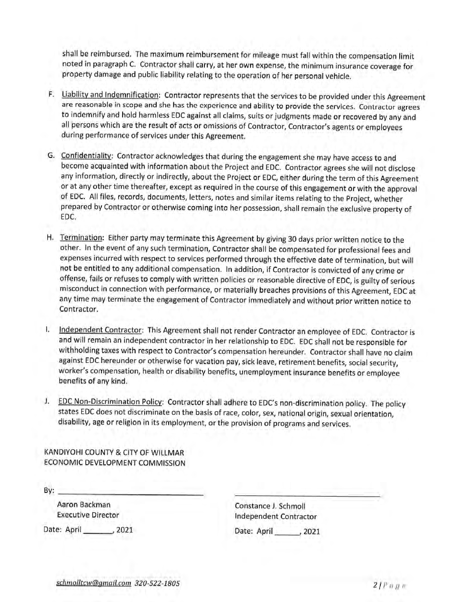shall be reimbursed. The maximum reimbursement for mileage must fall within the compensation limit noted in paragraph C. Contractor shall carry, at her own expense, the minimum insurance coverage for property damage and public liability relating to the operation of her personal vehicle.

- F. Liability and Indemnification: Contractor represents that the services to be provided under this Agreement are reasonable in scope and she has the experience and ability to provide the services. Contractor agrees to indemnify and hold harmless EDC against all claims, suits or judgments made or recovered by any and all persons which are the result of acts or omissions of Contractor, Contractor's agents or employees during performance of services under this Agreement.
- G. Confidentiality: Contractor acknowledges that during the engagement she may have access to and become acquainted with information about the Project and EDC. Contractor agrees she will not disclose any information, directly or indirectly, about the Project or EDC, either during the term of this Agreement or at any other time thereafter, except as required in the course of this engagement or with the approval of EDC. All files, records, documents, letters, notes and similar items relating to the Project, whether prepared by Contractor or otherwise coming into her possession, shall remain the exclusive property of EDC.
- H. Termination: Either party may terminate this Agreement by giving 30 days prior written notice to the other. In the event of any such termination, Contractor shall be compensated for professional fees and expenses incurred with respect to services performed through the effective date of termination, but will not be entitled to any additional compensation. In addition, if Contractor is convicted of any crime or offense, fails or refuses to comply with written policies or reasonable directive of EDC, is guilty of serious misconduct in connection with performance, or materially breaches provisions of this Agreement, EDC at any time may terminate the engagement of Contractor immediately and without prior written notice to Contractor.
- Independent Contractor: This Agreement shall not render Contractor an employee of EDC. Contractor is Τ. and will remain an independent contractor in her relationship to EDC. EDC shall not be responsible for withholding taxes with respect to Contractor's compensation hereunder. Contractor shall have no claim against EDC hereunder or otherwise for vacation pay, sick leave, retirement benefits, social security, worker's compensation, health or disability benefits, unemployment insurance benefits or employee benefits of any kind.
- J. EDC Non-Discrimination Policy: Contractor shall adhere to EDC's non-discrimination policy. The policy states EDC does not discriminate on the basis of race, color, sex, national origin, sexual orientation, disability, age or religion in its employment, or the provision of programs and services.

KANDIYOHI COUNTY & CITY OF WILLMAR ECONOMIC DEVELOPMENT COMMISSION

By:

Aaron Backman **Executive Director** 

Date: April \_\_\_\_\_\_\_, 2021

Constance J. Schmoll Independent Contractor

Date: April \_\_\_\_\_\_, 2021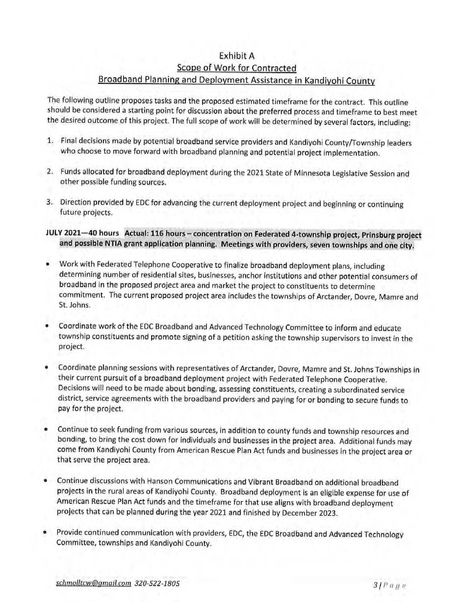## **Exhibit A** Scope of Work for Contracted Broadband Planning and Deployment Assistance in Kandiyohi County

The following outline proposes tasks and the proposed estimated timeframe for the contract. This outline should be considered a starting point for discussion about the preferred process and timeframe to best meet the desired outcome of this project. The full scope of work will be determined by several factors, including:

- 1. Final decisions made by potential broadband service providers and Kandiyohi County/Township leaders who choose to move forward with broadband planning and potential project implementation.
- 2. Funds allocated for broadband deployment during the 2021 State of Minnesota Legislative Session and other possible funding sources.
- 3. Direction provided by EDC for advancing the current deployment project and beginning or continuing future projects.
- JULY 2021-40 hours Actual: 116 hours concentration on Federated 4-township project, Prinsburg project and possible NTIA grant application planning. Meetings with providers, seven townships and one city.
- Work with Federated Telephone Cooperative to finalize broadband deployment plans, including determining number of residential sites, businesses, anchor institutions and other potential consumers of broadband in the proposed project area and market the project to constituents to determine commitment. The current proposed project area includes the townships of Arctander, Dovre, Mamre and St. Johns.
- Coordinate work of the EDC Broadband and Advanced Technology Committee to inform and educate township constituents and promote signing of a petition asking the township supervisors to invest in the project.
- Coordinate planning sessions with representatives of Arctander, Dovre, Mamre and St. Johns Townships in their current pursuit of a broadband deployment project with Federated Telephone Cooperative. Decisions will need to be made about bonding, assessing constituents, creating a subordinated service district, service agreements with the broadband providers and paying for or bonding to secure funds to pay for the project.
- Continue to seek funding from various sources, in addition to county funds and township resources and bonding, to bring the cost down for individuals and businesses in the project area. Additional funds may come from Kandiyohi County from American Rescue Plan Act funds and businesses in the project area or that serve the project area.
- Continue discussions with Hanson Communications and Vibrant Broadband on additional broadband projects in the rural areas of Kandiyohi County. Broadband deployment is an eligible expense for use of American Rescue Plan Act funds and the timeframe for that use aligns with broadband deployment projects that can be planned during the year 2021 and finished by December 2023.
- Provide continued communication with providers, EDC, the EDC Broadband and Advanced Technology Committee, townships and Kandiyohi County.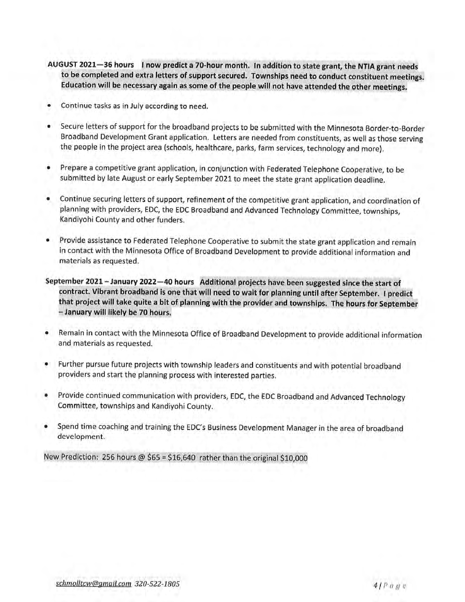- AUGUST 2021-36 hours I now predict a 70-hour month. In addition to state grant, the NTIA grant needs to be completed and extra letters of support secured. Townships need to conduct constituent meetings. Education will be necessary again as some of the people will not have attended the other meetings.
- Continue tasks as in July according to need. ٠
- Secure letters of support for the broadband projects to be submitted with the Minnesota Border-to-Border  $\bullet$ Broadband Development Grant application. Letters are needed from constituents, as well as those serving the people in the project area (schools, healthcare, parks, farm services, technology and more).
- Prepare a competitive grant application, in conjunction with Federated Telephone Cooperative, to be  $\bullet$ submitted by late August or early September 2021 to meet the state grant application deadline.
- Continue securing letters of support, refinement of the competitive grant application, and coordination of planning with providers, EDC, the EDC Broadband and Advanced Technology Committee, townships, Kandiyohi County and other funders.
- Provide assistance to Federated Telephone Cooperative to submit the state grant application and remain in contact with the Minnesota Office of Broadband Development to provide additional information and materials as requested.
- September 2021 January 2022 -40 hours Additional projects have been suggested since the start of contract. Vibrant broadband is one that will need to wait for planning until after September. I predict that project will take quite a bit of planning with the provider and townships. The hours for September - January will likely be 70 hours.
- Remain in contact with the Minnesota Office of Broadband Development to provide additional information and materials as requested.
- Further pursue future projects with township leaders and constituents and with potential broadband providers and start the planning process with interested parties.
- Provide continued communication with providers, EDC, the EDC Broadband and Advanced Technology  $\bullet$ Committee, townships and Kandiyohi County.
- Spend time coaching and training the EDC's Business Development Manager in the area of broadband ۰ development.

New Prediction: 256 hours @  $$65 = $16,640$  rather than the original \$10,000